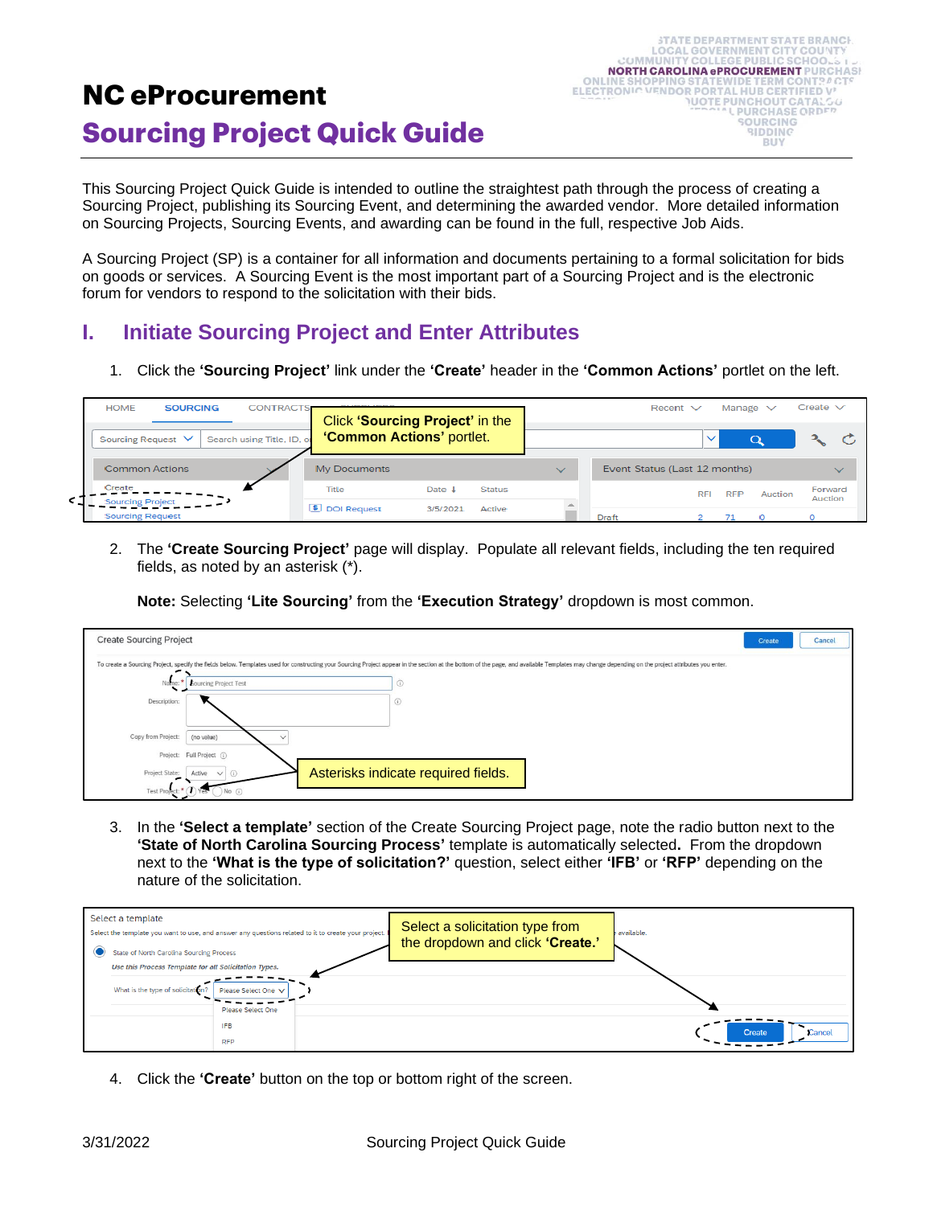# **NC eProcurement Sourcing Project Quick Guide**

| <b>STATE DEPARTMENT STATE BRANCH.</b>           |
|-------------------------------------------------|
| <b>LOCAL GOVERNMENT CITY COUNTY</b>             |
| COMMUNITY COLLEGE PUBLIC SCHOOLS 1.2.           |
| <b>NORTH CAROLINA ePROCUREMENT PURCHASH</b>     |
| <b>ONLINE SHOPPING STATEWIDE TERM CONTRACTS</b> |
| ELECTRONIC VENDOR PORTAL HUB CERTIFIED V'       |
| <b>NUOTE PUNCHOUT CATALSG</b>                   |
| <b>"COLLEVERCHASE ORDER</b>                     |
| <b>SOURCING</b>                                 |
| <b>BIDDING</b>                                  |
| RUY                                             |
|                                                 |

This Sourcing Project Quick Guide is intended to outline the straightest path through the process of creating a Sourcing Project, publishing its Sourcing Event, and determining the awarded vendor. More detailed information on Sourcing Projects, Sourcing Events, and awarding can be found in the full, respective Job Aids.

A Sourcing Project (SP) is a container for all information and documents pertaining to a formal solicitation for bids on goods or services. A Sourcing Event is the most important part of a Sourcing Project and is the electronic forum for vendors to respond to the solicitation with their bids.

## **I. Initiate Sourcing Project and Enter Attributes**

1. Click the **'Sourcing Project'** link under the **'Create'** header in the **'Common Actions'** portlet on the left.

| <b>HOME</b><br><b>SOURCING</b><br><b>CONTRACTS</b> | CURS IEBO<br>Click 'Sourcing Project' in the |          |               |              | Recent $\vee$                 |              | Manage $\vee$ |         | Create $\vee$      |              |
|----------------------------------------------------|----------------------------------------------|----------|---------------|--------------|-------------------------------|--------------|---------------|---------|--------------------|--------------|
| Search using Title, ID, or<br>Sourcing Request V   | <b>'Common Actions' portlet.</b>             |          |               |              |                               | $\checkmark$ |               | Q       |                    |              |
| <b>Common Actions</b>                              | My Documents                                 |          |               | $\checkmark$ | Event Status (Last 12 months) |              |               |         |                    | $\checkmark$ |
| Create<br><b>Sourcing Project</b>                  | Title                                        | Date     | <b>Status</b> |              |                               | <b>RFI</b>   | <b>RFP</b>    | Auction | Forward<br>Auction |              |
| <b>Sourcing Request</b>                            | <b>5</b> DOI Request                         | 3/5/2021 | Active        |              | <b>Draft</b>                  |              |               |         |                    |              |

2. The **'Create Sourcing Project'** page will display. Populate all relevant fields, including the ten required fields, as noted by an asterisk (\*).

**Note:** Selecting **'Lite Sourcing'** from the **'Execution Strategy'** dropdown is most common.

| <b>Create Sourcing Project</b> |                                                                                                                                                                                                                                | Create | Cancel |
|--------------------------------|--------------------------------------------------------------------------------------------------------------------------------------------------------------------------------------------------------------------------------|--------|--------|
|                                | To create a Sourcing Project, specify the fields below. Templates used for constructing your Sourcing Project appear in the section at the bottom of the page, and available Templates may change depending on the project att |        |        |
| Name:                          | $\odot$<br><b>Bourcing Project Test</b>                                                                                                                                                                                        |        |        |
| Description:                   | $\odot$                                                                                                                                                                                                                        |        |        |
| Copy from Project:             | (no value)<br>$\checkmark$                                                                                                                                                                                                     |        |        |
|                                | Project: Full Project (i)                                                                                                                                                                                                      |        |        |
| Project State:                 | Asterisks indicate required fields.<br>Active $\vee$ (i)                                                                                                                                                                       |        |        |
| Test Project:                  | $)$ No $()$                                                                                                                                                                                                                    |        |        |

3. In the **'Select a template'** section of the Create Sourcing Project page, note the radio button next to the **'State of North Carolina Sourcing Process'** template is automatically selected**.** From the dropdown next to the **'What is the type of solicitation?'** question, select either **'IFB'** or **'RFP'** depending on the nature of the solicitation.

| Select a template<br>Select the template you want to use, and answer any questions related to it to create your project. |                                                       |                          |                                  | Select a solicitation type from<br>available. |                  |
|--------------------------------------------------------------------------------------------------------------------------|-------------------------------------------------------|--------------------------|----------------------------------|-----------------------------------------------|------------------|
|                                                                                                                          | State of North Carolina Sourcing Process              |                          | the dropdown and click 'Create.' |                                               |                  |
|                                                                                                                          | Use this Process Template for all Solicitation Types. |                          |                                  |                                               |                  |
|                                                                                                                          | What is the type of solicitation?                     | Please Select One V      |                                  |                                               |                  |
|                                                                                                                          |                                                       | Please Select One        |                                  |                                               |                  |
|                                                                                                                          |                                                       | <b>IFB</b><br><b>RFP</b> |                                  |                                               | Create<br>Cancel |

4. Click the **'Create'** button on the top or bottom right of the screen.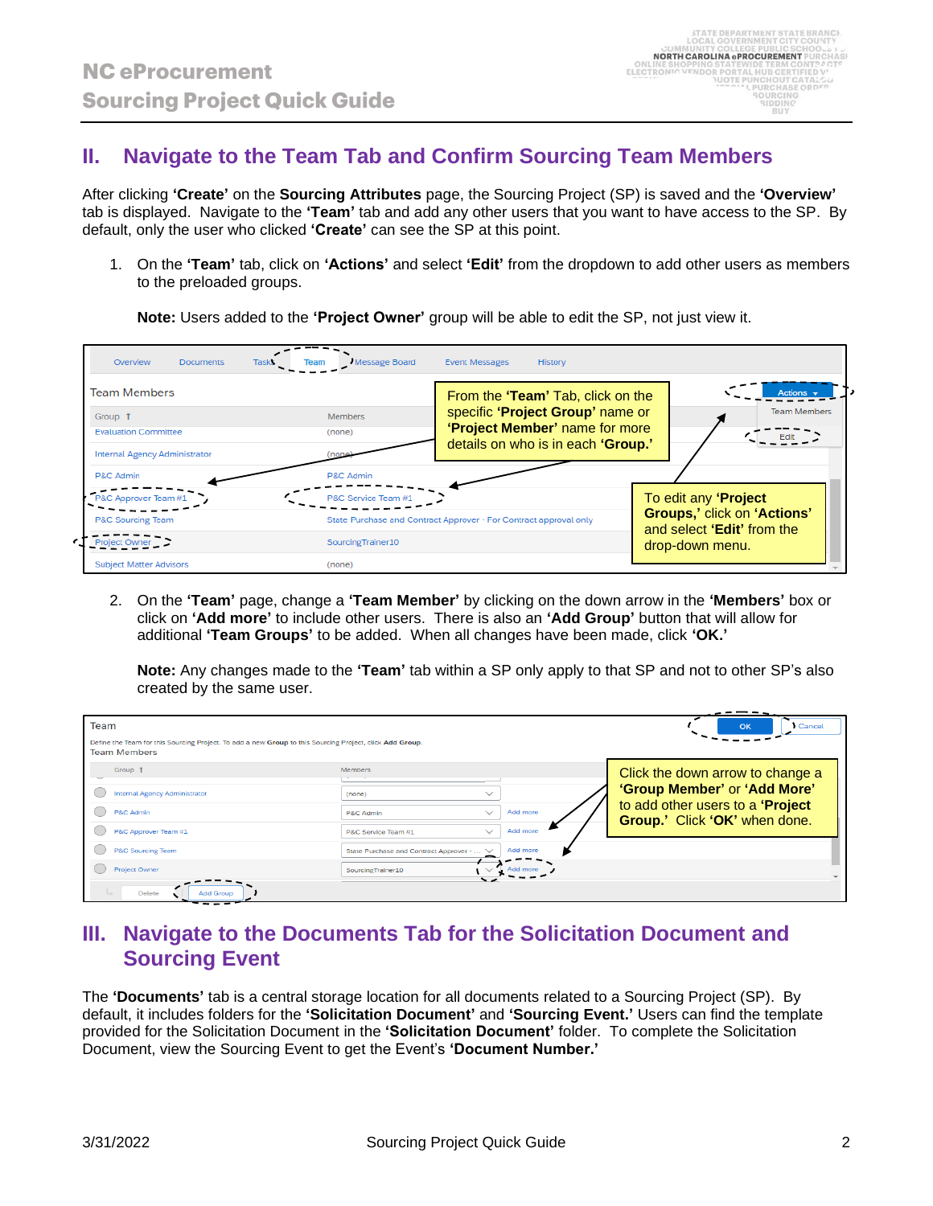### **II. Navigate to the Team Tab and Confirm Sourcing Team Members**

After clicking **'Create'** on the **Sourcing Attributes** page, the Sourcing Project (SP) is saved and the **'Overview'** tab is displayed. Navigate to the **'Team'** tab and add any other users that you want to have access to the SP. By default, only the user who clicked **'Create'** can see the SP at this point.

1. On the **'Team'** tab, click on **'Actions'** and select **'Edit'** from the dropdown to add other users as members to the preloaded groups.

**Note:** Users added to the **'Project Owner'** group will be able to edit the SP, not just view it.

| Overview<br><b>Documents</b><br><b>Tasks</b> | Message Board       | <b>Event Messages</b><br>History                                  |                                                           |
|----------------------------------------------|---------------------|-------------------------------------------------------------------|-----------------------------------------------------------|
| <b>Team Members</b>                          |                     | From the 'Team' Tab, click on the                                 | Actions $\overline{\mathbf{v}}$                           |
| Group 1                                      | <b>Members</b>      | specific 'Project Group' name or                                  | <b>Team Members</b>                                       |
| <b>Evaluation Committee</b>                  | (none)              | <b>'Project Member'</b> name for more                             |                                                           |
| Internal Agency Administrator                |                     | details on who is in each 'Group.'                                |                                                           |
| P&C Admin                                    | P&C Admin           |                                                                   |                                                           |
| P&C Approver Team #1                         | P&C Service Team #1 |                                                                   | To edit any 'Project                                      |
| P&C Sourcing Team                            |                     | State Purchase and Contract Approver - For Contract approval only | Groups,' click on 'Actions'<br>and select 'Edit' from the |
| <b>Project Own</b>                           | SourcingTrainer10   |                                                                   | drop-down menu.                                           |
| <b>Subject Matter Advisors</b>               | (none)              |                                                                   |                                                           |

2. On the **'Team'** page, change a **'Team Member'** by clicking on the down arrow in the **'Members'** box or click on **'Add more'** to include other users. There is also an **'Add Group'** button that will allow for additional **'Team Groups'** to be added. When all changes have been made, click **'OK.'**

**Note:** Any changes made to the **'Team'** tab within a SP only apply to that SP and not to other SP's also created by the same user.

| Team<br>Define the Team for this Sourcing Project. To add a new Group to this Sourcing Project, click Add Group.<br><b>Team Members</b> |                                                                                                                               | <b>Cancel</b><br>OK                                                                                                                   |
|-----------------------------------------------------------------------------------------------------------------------------------------|-------------------------------------------------------------------------------------------------------------------------------|---------------------------------------------------------------------------------------------------------------------------------------|
| Group 1<br>Internal Agency Administrator<br>P&C Admin<br>P&C Approver Team #1                                                           | Members<br>$\checkmark$<br>(none)<br>Add more<br>$\checkmark$<br>P&C Admin<br>Add more<br>$\checkmark$<br>P&C Service Team #1 | Click the down arrow to change a<br>'Group Member' or 'Add More'<br>to add other users to a 'Project<br>Group.' Click 'OK' when done. |
| P&C Sourcing Team<br><b>Project Owner</b><br>Delete<br><b>Add Group</b>                                                                 | Add more<br>State Purchase and Contract Approver -<br>Add more<br>SourcingTrainer10                                           |                                                                                                                                       |

### **III. Navigate to the Documents Tab for the Solicitation Document and Sourcing Event**

The **'Documents'** tab is a central storage location for all documents related to a Sourcing Project (SP). By default, it includes folders for the **'Solicitation Document'** and **'Sourcing Event.'** Users can find the template provided for the Solicitation Document in the **'Solicitation Document'** folder. To complete the Solicitation Document, view the Sourcing Event to get the Event's **'Document Number.'**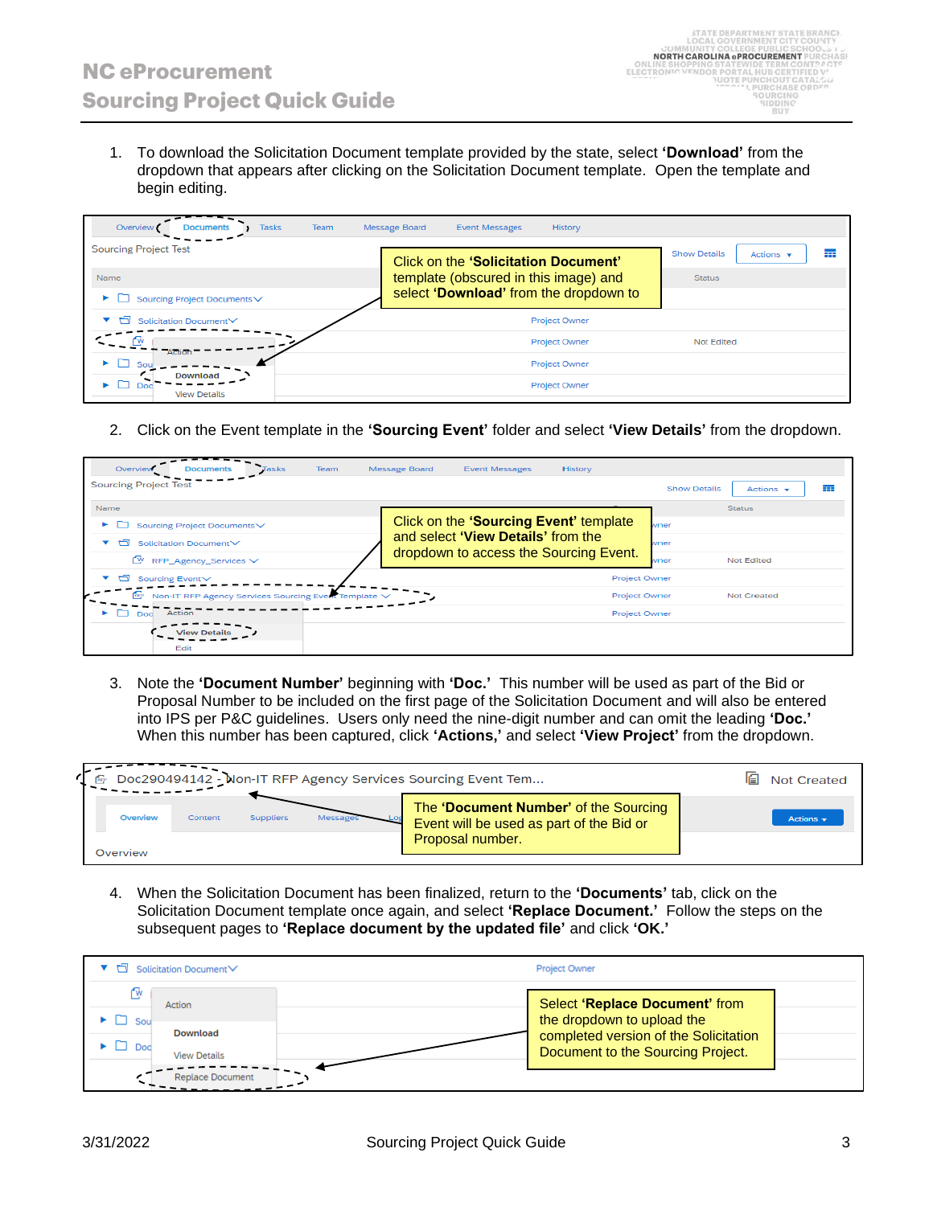1. To download the Solicitation Document template provided by the state, select **'Download'** from the dropdown that appears after clicking on the Solicitation Document template. Open the template and begin editing.

| Overview<br><b>Tasks</b><br><b>Documents</b> | <b>Message Board</b><br><b>Team</b><br><b>Event Messages</b><br>History |                                                           |
|----------------------------------------------|-------------------------------------------------------------------------|-----------------------------------------------------------|
| <b>Sourcing Project Test</b>                 | Click on the 'Solicitation Document'                                    | <b>Show Details</b><br>蘁<br>Actions $\mathbf{\mathbf{v}}$ |
| Name                                         | template (obscured in this image) and                                   | <b>Status</b>                                             |
| Sourcing Project Documents∨                  | select 'Download' from the dropdown to                                  |                                                           |
| Solicitation Document∨                       | Project Owner                                                           |                                                           |
| Action                                       | Project Owner                                                           | Not Edited                                                |
| Sou                                          | Project Owner                                                           |                                                           |
| <b>Download</b><br><b>View Details</b>       | Project Owner                                                           |                                                           |

2. Click on the Event template in the **'Sourcing Event'** folder and select **'View Details'** from the dropdown.

| Overview<br>Team<br>Tasks<br><b>Documents</b>                       | <b>Message Board</b><br><b>Event Messages</b><br>History |                                                           |
|---------------------------------------------------------------------|----------------------------------------------------------|-----------------------------------------------------------|
| <b>Sourcing Project Test</b>                                        |                                                          | 壼<br><b>Show Details</b><br>Actions $\mathbf{\mathbf{v}}$ |
| <b>Name</b>                                                         |                                                          | <b>Status</b>                                             |
| Sourcing Project Documents<br>►                                     | Click on the 'Sourcing Event' template                   | wner                                                      |
| 凸<br>Solicitation Document∨                                         | and select 'View Details' from the                       | wner                                                      |
| Œ₩.<br>RFP_Agency_Services V                                        | dropdown to access the Sourcing Event.                   | <b>Not Edited</b><br>wner                                 |
| ▭<br>▼<br>Sourcing Event V                                          | <b>Project Owner</b>                                     |                                                           |
| Non-IT RFP Agency Services Sourcing Event Template V<br><b>Fury</b> | <b>Project Owner</b>                                     | <b>Not Created</b>                                        |
| Action<br>Doc                                                       | <b>Project Owner</b>                                     |                                                           |
| <b>View Details</b>                                                 |                                                          |                                                           |
| Edit                                                                |                                                          |                                                           |

3. Note the **'Document Number'** beginning with **'Doc.'** This number will be used as part of the Bid or Proposal Number to be included on the first page of the Solicitation Document and will also be entered into IPS per P&C guidelines. Users only need the nine-digit number and can omit the leading **'Doc.'**  When this number has been captured, click **'Actions,'** and select **'View Project'** from the dropdown.

|          | Doc290494142 - Non-IT RFP Agency Services Sourcing Event Tem | 佪<br><b>Not Created</b> |         |                                                                                   |                               |
|----------|--------------------------------------------------------------|-------------------------|---------|-----------------------------------------------------------------------------------|-------------------------------|
| Overview | Content                                                      | <b>Suppliers</b>        | Message | The 'Document Number' of the Sourcing<br>Event will be used as part of the Bid or | Actions $\mathbf{\mathbf{v}}$ |
| Overview |                                                              |                         |         | Proposal number.                                                                  |                               |

4. When the Solicitation Document has been finalized, return to the **'Documents'** tab, click on the Solicitation Document template once again, and select **'Replace Document.'** Follow the steps on the subsequent pages to **'Replace document by the updated file'** and click **'OK.'**

|                      | ▼ □ Solicitation Document V | Project Owner                                                              |
|----------------------|-----------------------------|----------------------------------------------------------------------------|
| ſŵ                   | Action                      | Select 'Replace Document' from                                             |
| Sou                  | <b>Download</b>             | the dropdown to upload the                                                 |
| $\bullet$ $\Box$ Dod | <b>View Details</b>         | completed version of the Solicitation<br>Document to the Sourcing Project. |
|                      | <b>Replace Document</b>     |                                                                            |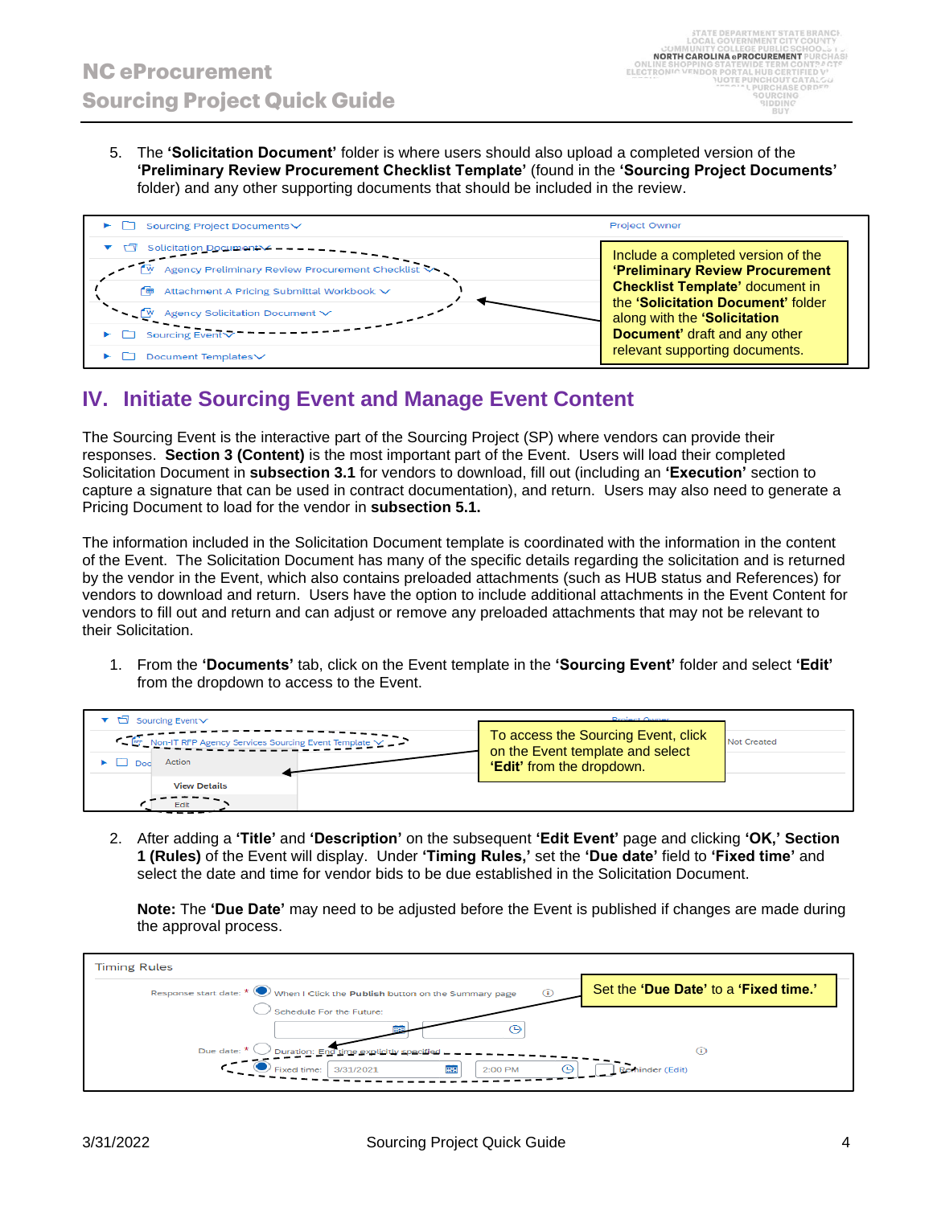5. The **'Solicitation Document'** folder is where users should also upload a completed version of the **'Preliminary Review Procurement Checklist Template'** (found in the **'Sourcing Project Documents'** folder) and any other supporting documents that should be included in the review.



### **IV. Initiate Sourcing Event and Manage Event Content**

The Sourcing Event is the interactive part of the Sourcing Project (SP) where vendors can provide their responses. **Section 3 (Content)** is the most important part of the Event. Users will load their completed Solicitation Document in **subsection 3.1** for vendors to download, fill out (including an **'Execution'** section to capture a signature that can be used in contract documentation), and return. Users may also need to generate a Pricing Document to load for the vendor in **subsection 5.1.** 

The information included in the Solicitation Document template is coordinated with the information in the content of the Event. The Solicitation Document has many of the specific details regarding the solicitation and is returned by the vendor in the Event, which also contains preloaded attachments (such as HUB status and References) for vendors to download and return. Users have the option to include additional attachments in the Event Content for vendors to fill out and return and can adjust or remove any preloaded attachments that may not be relevant to their Solicitation.

1. From the **'Documents'** tab, click on the Event template in the **'Sourcing Event'** folder and select **'Edit'** from the dropdown to access to the Event.

| $\blacktriangledown$ Sourcing Event $\blacktriangledown$ | <b>Project Owner</b>                                                    |                    |
|----------------------------------------------------------|-------------------------------------------------------------------------|--------------------|
| Non-IT RFP Agency Services Sourcing Event Template V     | To access the Sourcing Event, click<br>on the Event template and select | <b>Not Created</b> |
| Action                                                   | <b>'Edit'</b> from the dropdown.                                        |                    |
| <b>View Details</b>                                      |                                                                         |                    |
|                                                          |                                                                         |                    |

2. After adding a **'Title'** and **'Description'** on the subsequent **'Edit Event'** page and clicking **'OK,' Section 1 (Rules)** of the Event will display. Under **'Timing Rules,'** set the **'Due date'** field to **'Fixed time'** and select the date and time for vendor bids to be due established in the Solicitation Document.

**Note:** The **'Due Date'** may need to be adjusted before the Event is published if changes are made during the approval process.

| <b>Timing Rules</b>                                                                               |                                       |
|---------------------------------------------------------------------------------------------------|---------------------------------------|
| Response start date: $\star$ $\bigodot$ When I Click the Publish button on the Summary page<br>G) | Set the 'Due Date' to a 'Fixed time.' |
| Schedule For the Future:                                                                          |                                       |
|                                                                                                   |                                       |
| Due date: $*$<br>Duration: End time explicitly specified                                          | G)                                    |
| <b>EEE</b><br>3/31/2021<br>Fixed time:<br>2:00 PM<br>(4)                                          | Reminder (Edit)                       |
|                                                                                                   |                                       |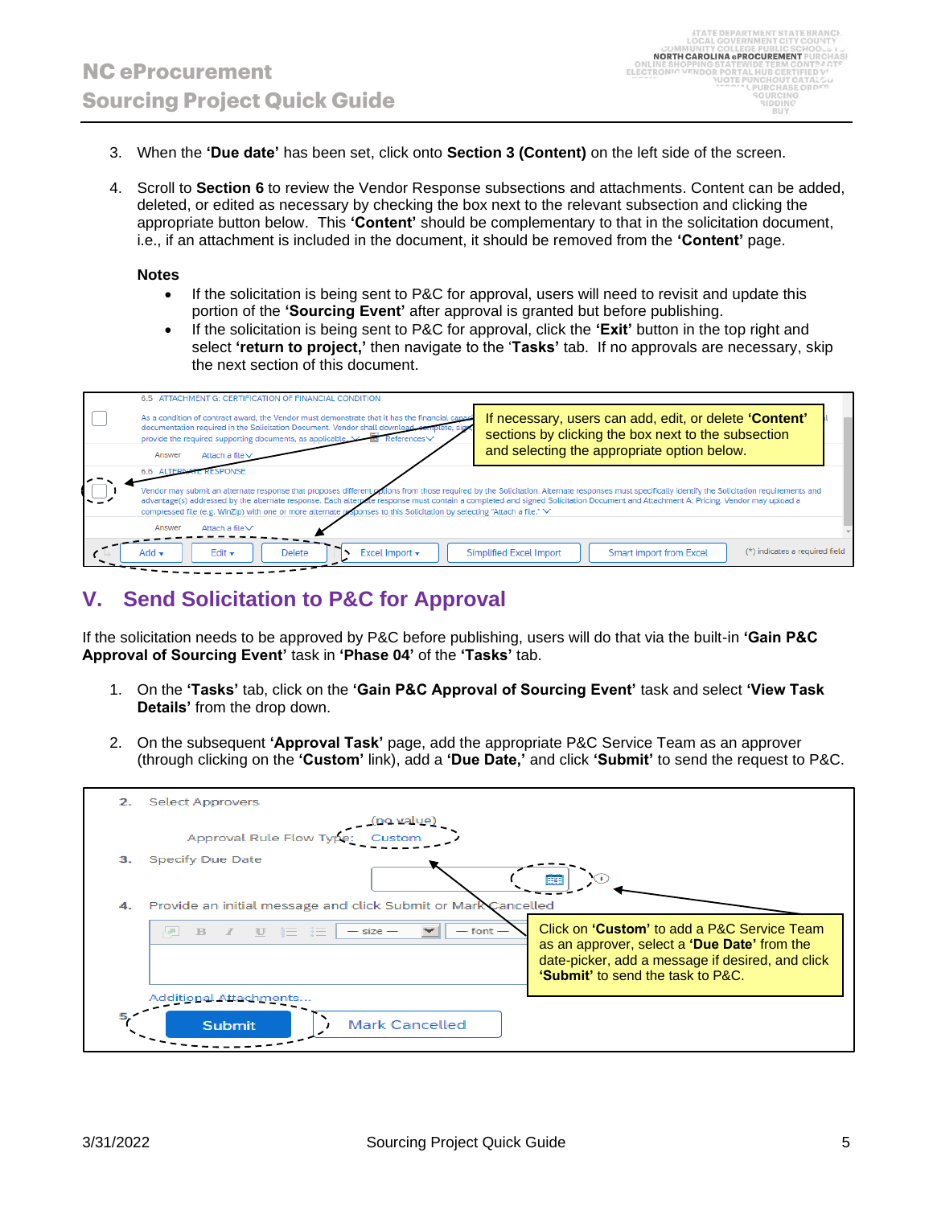- 3. When the **'Due date'** has been set, click onto **Section 3 (Content)** on the left side of the screen.
- 4. Scroll to **Section 6** to review the Vendor Response subsections and attachments. Content can be added, deleted, or edited as necessary by checking the box next to the relevant subsection and clicking the appropriate button below. This **'Content'** should be complementary to that in the solicitation document, i.e., if an attachment is included in the document, it should be removed from the **'Content'** page.

#### **Notes**

- If the solicitation is being sent to P&C for approval, users will need to revisit and update this portion of the **'Sourcing Event'** after approval is granted but before publishing.
- If the solicitation is being sent to P&C for approval, click the **'Exit'** button in the top right and select **'return to project,'** then navigate to the '**Tasks'** tab. If no approvals are necessary, skip the next section of this document.



### **V. Send Solicitation to P&C for Approval**

If the solicitation needs to be approved by P&C before publishing, users will do that via the built-in **'Gain P&C Approval of Sourcing Event'** task in **'Phase 04'** of the **'Tasks'** tab.

- 1. On the **'Tasks'** tab, click on the **'Gain P&C Approval of Sourcing Event'** task and select **'View Task Details'** from the drop down.
- 2. On the subsequent **'Approval Task'** page, add the appropriate P&C Service Team as an approver (through clicking on the **'Custom'** link), add a **'Due Date,'** and click **'Submit'** to send the request to P&C.

| 2.  | <b>Select Approvers</b>                                                                                                       |                                                                                                                                                                                      |
|-----|-------------------------------------------------------------------------------------------------------------------------------|--------------------------------------------------------------------------------------------------------------------------------------------------------------------------------------|
|     | no value)                                                                                                                     |                                                                                                                                                                                      |
|     | Approval Rule Flow Type:<br>Custom                                                                                            |                                                                                                                                                                                      |
| 3.  | <b>Specify Due Date</b>                                                                                                       | <b>FEE</b>                                                                                                                                                                           |
| 4.  | Provide an initial message and click Submit or Mark Cancelled                                                                 |                                                                                                                                                                                      |
|     | $\mathbb{B}$ $I$ $\mathbb{U}$ $\mathbb{E}$ $\mathbb{E}$ $\mathbb{E}$ $-size$<br>$\overline{\phantom{0}}$<br>$-$ font $-$<br>囫 | Click on 'Custom' to add a P&C Service Team<br>as an approver, select a 'Due Date' from the<br>date-picker, add a message if desired, and click<br>'Submit' to send the task to P&C. |
|     | Additional Attachments                                                                                                        |                                                                                                                                                                                      |
| 5.7 | <b>Mark Cancelled</b><br><b>Submit</b>                                                                                        |                                                                                                                                                                                      |
|     |                                                                                                                               |                                                                                                                                                                                      |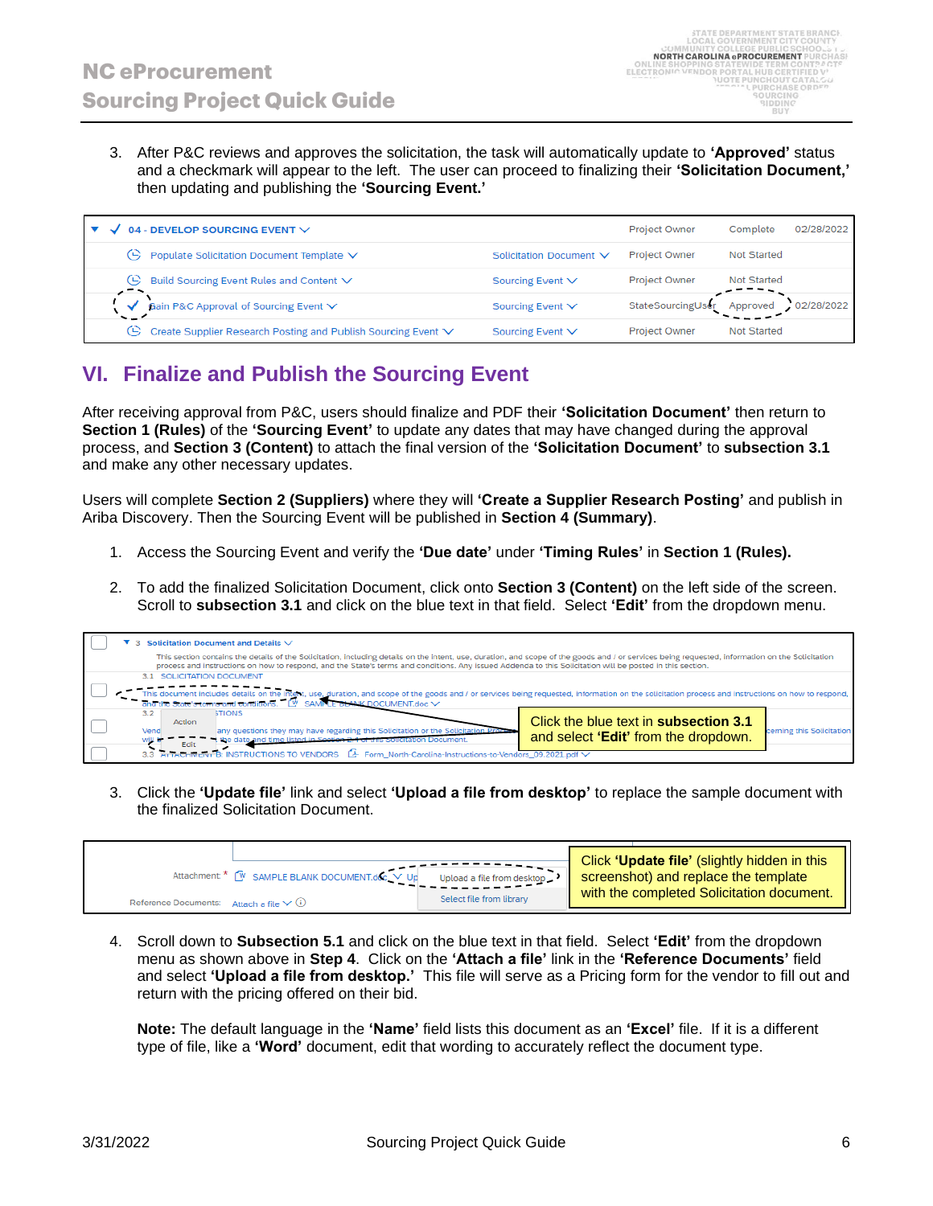3. After P&C reviews and approves the solicitation, the task will automatically update to **'Approved'** status and a checkmark will appear to the left. The user can proceed to finalizing their **'Solicitation Document,'** then updating and publishing the **'Sourcing Event.'**

| 04 - DEVELOP SOURCING EVENT $\vee$                                   |                         | <b>Project Owner</b> | 02/28/2022<br>Complete |
|----------------------------------------------------------------------|-------------------------|----------------------|------------------------|
| $\Theta$ Populate Solicitation Document Template $\vee$              | Solicitation Document ∨ | <b>Project Owner</b> | <b>Not Started</b>     |
| Build Sourcing Event Rules and Content V<br>œ.                       | Sourcing Event ∨        | <b>Project Owner</b> | <b>Not Started</b>     |
| Gain P&C Approval of Sourcing Event V                                | Sourcing Event ∨        | StateSourcingUser    | 02/28/2022<br>Approved |
| Create Supplier Research Posting and Publish Sourcing Event ∨<br>CG. | Sourcing Event ∨        | <b>Project Owner</b> | <b>Not Started</b>     |

# **VI. Finalize and Publish the Sourcing Event**

After receiving approval from P&C, users should finalize and PDF their **'Solicitation Document'** then return to **Section 1 (Rules)** of the **'Sourcing Event'** to update any dates that may have changed during the approval process, and **Section 3 (Content)** to attach the final version of the **'Solicitation Document'** to **subsection 3.1** and make any other necessary updates.

Users will complete **Section 2 (Suppliers)** where they will **'Create a Supplier Research Posting'** and publish in Ariba Discovery. Then the Sourcing Event will be published in **Section 4 (Summary)**.

- 1. Access the Sourcing Event and verify the **'Due date'** under **'Timing Rules'** in **Section 1 (Rules).**
- 2. To add the finalized Solicitation Document, click onto **Section 3 (Content)** on the left side of the screen. Scroll to **subsection 3.1** and click on the blue text in that field. Select **'Edit'** from the dropdown menu.

|  | $\blacktriangledown$ 3 Solicitation Document and Details $\vee$                                                                                                                                                                                                                                                                                               |                           |
|--|---------------------------------------------------------------------------------------------------------------------------------------------------------------------------------------------------------------------------------------------------------------------------------------------------------------------------------------------------------------|---------------------------|
|  | This section contains the details of the Solicitation, including details on the intent, use, duration, and scope of the goods and / or services being requested, information on the Solicitation<br>process and instructions on how to respond, and the State's terms and conditions. Any issued Addenda to this Solicitation will be posted in this section. |                           |
|  | 3.1 SOLICITATION DOCUMENT                                                                                                                                                                                                                                                                                                                                     |                           |
|  | This document includes details on the intent, use, duration, and scope of the goods and / or services being requested, information on the solicitation process and instructions on how to respond,<br>$d$ the State's terms and conditions. $\mathbb{C}^{\mathsf{V}}$ SAMPLE BLANK DOCUMENT.doc $\vee$                                                        |                           |
|  | 3.2<br><b>STIONS</b><br>Click the blue text in <b>subsection 3.1</b><br>Action<br>any questions they may have regarding this Solicitation or the Solicitation Process<br>Vend<br>and select 'Edit' from the dropdown.<br>the date and time listed in Section 2.4 of this<br>will<br>Edit                                                                      | cerning this Solicitation |
|  | 3.3 ATTACHMENT B: INSTRUCTIONS TO VENDORS<br>Form North-Carolina-Instructions-to-Vendors 09.2021.pdf V                                                                                                                                                                                                                                                        |                           |

3. Click the **'Update file'** link and select **'Upload a file from desktop'** to replace the sample document with the finalized Solicitation Document.

| Attachment: * W SAMPLE BLANK DOCUMENT.doc V Up<br>Upload a file from desktop<br>Select file from library<br>Reference Documents: Attach a file $\vee$ (i) |  | Click 'Update file' (slightly hidden in this<br>screenshot) and replace the template<br>with the completed Solicitation document. |
|-----------------------------------------------------------------------------------------------------------------------------------------------------------|--|-----------------------------------------------------------------------------------------------------------------------------------|
|-----------------------------------------------------------------------------------------------------------------------------------------------------------|--|-----------------------------------------------------------------------------------------------------------------------------------|

4. Scroll down to **Subsection 5.1** and click on the blue text in that field. Select **'Edit'** from the dropdown menu as shown above in **Step 4**. Click on the **'Attach a file'** link in the **'Reference Documents'** field and select **'Upload a file from desktop.'** This file will serve as a Pricing form for the vendor to fill out and return with the pricing offered on their bid.

**Note:** The default language in the **'Name'** field lists this document as an **'Excel'** file. If it is a different type of file, like a **'Word'** document, edit that wording to accurately reflect the document type.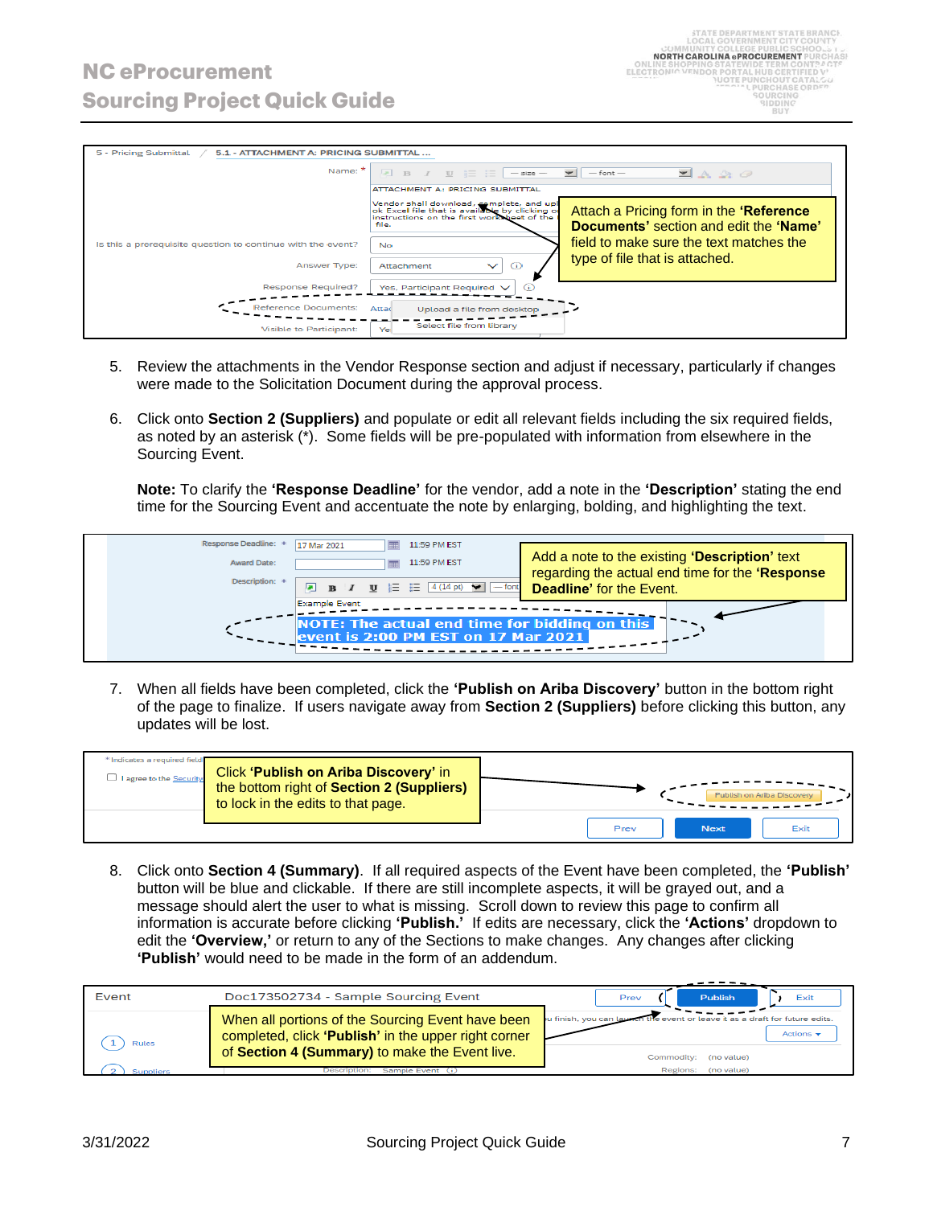| 5 - Pricing Submittal<br>5.1 - ATTACHMENT A: PRICING SUBMITTAL |                                                                                                                                                                                                                                                                           |
|----------------------------------------------------------------|---------------------------------------------------------------------------------------------------------------------------------------------------------------------------------------------------------------------------------------------------------------------------|
| Name: $*$                                                      | $\boxed{A}$ B $I$ U $\equiv$ $\boxed{-size -}$<br>$\overline{\phantom{a}}$<br>$-$ font $-$<br>$\blacksquare$ A $\mathcal{R}$ $\oslash$                                                                                                                                    |
|                                                                | ATTACHMENT A: PRICING SUBMITTAL<br>Vendor shall download, complete, and upl<br>ok Excel file that is available by clicking of<br>Attach a Pricing form in the 'Reference<br>instructions on the first worksheet of the<br>Documents' section and edit the 'Name'<br>file. |
| Is this a prerequisite question to continue with the event?    | field to make sure the text matches the<br>No.<br>type of file that is attached.                                                                                                                                                                                          |
| Answer Type:<br><b>Response Required?</b>                      | $\odot$<br>$\checkmark$<br>Attachment<br>Yes, Participant Required V                                                                                                                                                                                                      |
| <b>Reference Documents:</b>                                    | Attad<br>Upload a file from desktop                                                                                                                                                                                                                                       |
| <b>Visible to Participant:</b>                                 | Select file from library<br>Yei                                                                                                                                                                                                                                           |

- 5. Review the attachments in the Vendor Response section and adjust if necessary, particularly if changes were made to the Solicitation Document during the approval process.
- 6. Click onto **Section 2 (Suppliers)** and populate or edit all relevant fields including the six required fields, as noted by an asterisk (\*). Some fields will be pre-populated with information from elsewhere in the Sourcing Event.

**Note:** To clarify the **'Response Deadline'** for the vendor, add a note in the **'Description'** stating the end time for the Sourcing Event and accentuate the note by enlarging, bolding, and highlighting the text.



7. When all fields have been completed, click the **'Publish on Ariba Discovery'** button in the bottom right of the page to finalize. If users navigate away from **Section 2 (Suppliers)** before clicking this button, any updates will be lost.

| * Indicates a required field<br>$\Box$ I agree to the Security | Click 'Publish on Ariba Discovery' in<br>the bottom right of Section 2 (Suppliers)<br>to lock in the edits to that page. |      |             | Publish on Ariba Discovery |
|----------------------------------------------------------------|--------------------------------------------------------------------------------------------------------------------------|------|-------------|----------------------------|
|                                                                |                                                                                                                          | Prev | <b>Next</b> | Exit                       |

8. Click onto **Section 4 (Summary)**. If all required aspects of the Event have been completed, the **'Publish'** button will be blue and clickable. If there are still incomplete aspects, it will be grayed out, and a message should alert the user to what is missing. Scroll down to review this page to confirm all information is accurate before clicking **'Publish.'** If edits are necessary, click the **'Actions'** dropdown to edit the **'Overview,'** or return to any of the Sections to make changes. Any changes after clicking **'Publish'** would need to be made in the form of an addendum.

| Event     | Doc173502734 - Sample Sourcing Event                                                                                                                        | Publish<br>Exit<br>Prev                                                                                     |
|-----------|-------------------------------------------------------------------------------------------------------------------------------------------------------------|-------------------------------------------------------------------------------------------------------------|
| Rules     | When all portions of the Sourcing Event have been<br>completed, click 'Publish' in the upper right corner<br>of Section 4 (Summary) to make the Event live. | lu finish, you can launc<br>event or leave it as a draft for future edits.<br>Actions $\mathbf{\mathbf{v}}$ |
|           |                                                                                                                                                             | Commodity: (no value)                                                                                       |
| Sunnliers | Sample Event<br>Description:                                                                                                                                | (no value)<br>Regions:                                                                                      |